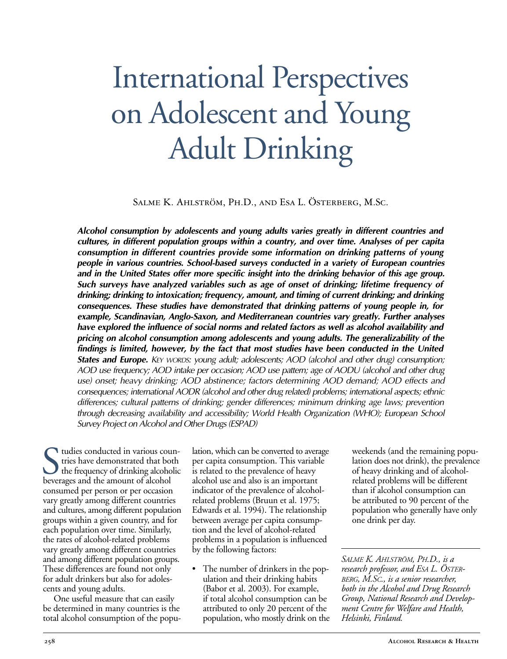# International Perspectives on Adolescent and Young Adult Drinking

Salme K. Ahlström, Ph.D., and Esa L. Österberg, M.Sc.

*Alcohol consumption by adolescents and young adults varies greatly in different countries and cultures, in different population groups within a country, and over time. Analyses of per capita consumption in different countries provide some information on drinking patterns of young people in various countries. Schoolbased surveys conducted in a variety of European countries and in the United States offer more specific insight into the drinking behavior of this age group. Such surveys have analyzed variables such as age of onset of drinking; lifetime frequency of drinking; drinking to intoxication; frequency, amount, and timing of current drinking; and drinking consequences. These studies have demonstrated that drinking patterns of young people in, for* example, *Scandinavian, Anglo-Saxon, and Mediterranean countries vary greatly. Further analyses have explored the influence of social norms and related factors as well as alcohol availability and pricing on alcohol consumption among adolescents and young adults. The generalizability of the findings is limited, however, by the fact that most studies have been conducted in the United States and Europe. KEY WORDS: young adult; adolescents; AOD (alcohol and other drug) consumption; AOD use frequency; AOD intake per occasion; AOD use pattern; age of AODU (alcohol and other drug use) onset; heavy drinking; AOD abstinence; factors determining AOD demand; AOD effects and consequences; international AODR (alcohol and other drug related) problems; international aspects; ethnic differences; cultural patterns of drinking; gender differences; minimum drinking age laws; prevention through decreasing availability and accessibility; World Health Organization (WHO); European School Survey Project on Alcohol and Other Drugs (ESPAD)*

Sudies conducted in various courses tries have demonstrated that bothe frequency of drinking alcohol<br>beverages and the amount of alcohol tudies conducted in various countries have demonstrated that both the frequency of drinking alcoholic consumed per person or per occasion vary greatly among different countries and cultures, among different population groups within a given country, and for each population over time. Similarly, the rates of alcohol-related problems vary greatly among different countries and among different population groups. These differences are found not only for adult drinkers but also for adolescents and young adults.

One useful measure that can easily be determined in many countries is the total alcohol consumption of the popu-

lation, which can be converted to average per capita consumption. This variable is related to the prevalence of heavy alcohol use and also is an important indicator of the prevalence of alcoholrelated problems (Bruun et al. 1975; Edwards et al. 1994). The relationship between average per capita consumption and the level of alcohol-related problems in a population is influenced by the following factors:

The number of drinkers in the population and their drinking habits (Babor et al. 2003). For example, if total alcohol consumption can be attributed to only 20 percent of the population, who mostly drink on the weekends (and the remaining population does not drink), the prevalence of heavy drinking and of alcoholrelated problems will be different than if alcohol consumption can be attributed to 90 percent of the population who generally have only one drink per day.

*SALME K. AHLSTRÖM, PH.D., is a research professor, and ESA L. ÖSTER-BERG, M.SC., is a senior researcher, both in the Alcohol and Drug Research Group, National Research and Development Centre for Welfare and Health, Helsinki, Finland.*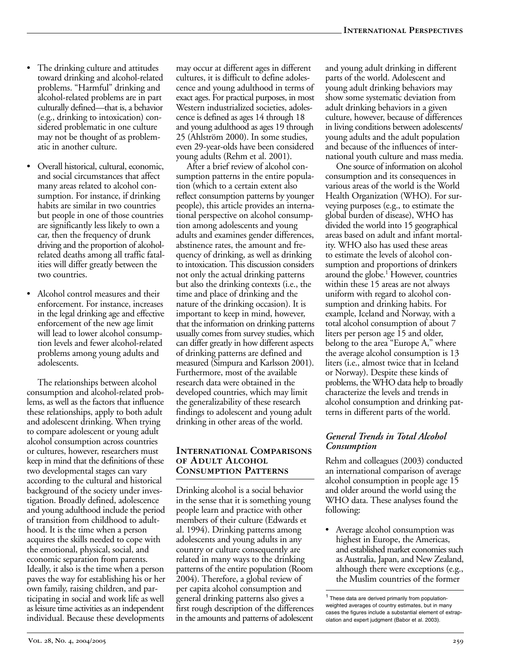- The drinking culture and attitudes toward drinking and alcohol-related problems. "Harmful" drinking and alcohol-related problems are in part culturally defined—that is, a behavior (e.g., drinking to intoxication) considered problematic in one culture may not be thought of as problematic in another culture.
- Overall historical, cultural, economic, and social circumstances that affect many areas related to alcohol consumption. For instance, if drinking habits are similar in two countries but people in one of those countries are significantly less likely to own a car, then the frequency of drunk driving and the proportion of alcoholrelated deaths among all traffic fatalities will differ greatly between the two countries.
- Alcohol control measures and their enforcement. For instance, increases in the legal drinking age and effective enforcement of the new age limit will lead to lower alcohol consumption levels and fewer alcohol-related problems among young adults and adolescents.

The relationships between alcohol consumption and alcohol-related problems, as well as the factors that influence these relationships, apply to both adult and adolescent drinking. When trying to compare adolescent or young adult alcohol consumption across countries or cultures, however, researchers must keep in mind that the definitions of these two developmental stages can vary according to the cultural and historical background of the society under investigation. Broadly defined, adolescence and young adulthood include the period of transition from childhood to adulthood. It is the time when a person acquires the skills needed to cope with the emotional, physical, social, and economic separation from parents. Ideally, it also is the time when a person paves the way for establishing his or her own family, raising children, and participating in social and work life as well as leisure time activities as an independent individual. Because these developments

may occur at different ages in different cultures, it is difficult to define adolescence and young adulthood in terms of exact ages. For practical purposes, in most Western industrialized societies, adolescence is defined as ages 14 through 18 and young adulthood as ages 19 through 25 (Ahlström 2000). In some studies, even 29-year-olds have been considered young adults (Rehm et al. 2001).

After a brief review of alcohol consumption patterns in the entire population (which to a certain extent also reflect consumption patterns by younger people), this article provides an international perspective on alcohol consumption among adolescents and young adults and examines gender differences, abstinence rates, the amount and frequency of drinking, as well as drinking to intoxication. This discussion considers not only the actual drinking patterns but also the drinking contexts (i.e., the time and place of drinking and the nature of the drinking occasion). It is important to keep in mind, however, that the information on drinking patterns usually comes from survey studies, which can differ greatly in how different aspects of drinking patterns are defined and measured (Simpura and Karlsson 2001). Furthermore, most of the available research data were obtained in the developed countries, which may limit the generalizability of these research findings to adolescent and young adult drinking in other areas of the world.

#### **International Comparisons of Adult Alcohol Consumption Patterns**

Drinking alcohol is a social behavior in the sense that it is something young people learn and practice with other members of their culture (Edwards et al. 1994). Drinking patterns among adolescents and young adults in any country or culture consequently are related in many ways to the drinking patterns of the entire population (Room 2004). Therefore, a global review of per capita alcohol consumption and general drinking patterns also gives a first rough description of the differences in the amounts and patterns of adolescent and young adult drinking in different parts of the world. Adolescent and young adult drinking behaviors may show some systematic deviation from adult drinking behaviors in a given culture, however, because of differences in living conditions between adolescents/ young adults and the adult population and because of the influences of international youth culture and mass media.

One source of information on alcohol consumption and its consequences in various areas of the world is the World Health Organization (WHO). For surveying purposes (e.g., to estimate the global burden of disease), WHO has divided the world into 15 geographical areas based on adult and infant mortality. WHO also has used these areas to estimate the levels of alcohol consumption and proportions of drinkers around the globe.<sup>1</sup> However, countries within these 15 areas are not always uniform with regard to alcohol consumption and drinking habits. For example, Iceland and Norway, with a total alcohol consumption of about 7 liters per person age 15 and older, belong to the area "Europe A," where the average alcohol consumption is 13 liters (i.e., almost twice that in Iceland or Norway). Despite these kinds of problems, the WHO data help to broadly characterize the levels and trends in alcohol consumption and drinking patterns in different parts of the world.

## *General Trends in Total Alcohol Consumption*

Rehm and colleagues (2003) conducted an international comparison of average alcohol consumption in people age 15 and older around the world using the WHO data. These analyses found the following:

• Average alcohol consumption was highest in Europe, the Americas, and established market economies such as Australia, Japan, and New Zealand, although there were exceptions (e.g., the Muslim countries of the former

<sup>1</sup> These data are derived primarily from populationweighted averages of country estimates, but in many cases the figures include a substantial element of extrapolation and expert judgment (Babor et al. 2003).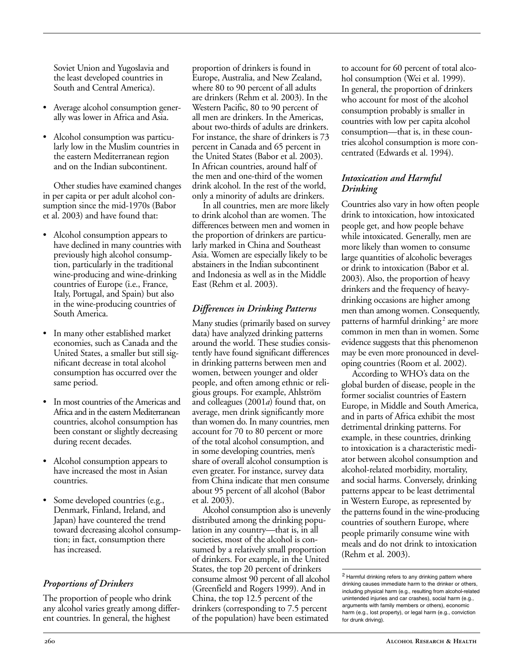Soviet Union and Yugoslavia and the least developed countries in South and Central America).

- Average alcohol consumption generally was lower in Africa and Asia.
- Alcohol consumption was particularly low in the Muslim countries in the eastern Mediterranean region and on the Indian subcontinent.

Other studies have examined changes in per capita or per adult alcohol consumption since the mid-1970s (Babor et al. 2003) and have found that:

- Alcohol consumption appears to have declined in many countries with previously high alcohol consumption, particularly in the traditional wine-producing and wine-drinking countries of Europe (i.e., France, Italy, Portugal, and Spain) but also in the wine-producing countries of South America.
- In many other established market economies, such as Canada and the United States, a smaller but still significant decrease in total alcohol consumption has occurred over the same period.
- In most countries of the Americas and Africa and in the eastern Mediterranean countries, alcohol consumption has been constant or slightly decreasing during recent decades.
- Alcohol consumption appears to have increased the most in Asian countries.
- Some developed countries (e.g., Denmark, Finland, Ireland, and Japan) have countered the trend toward decreasing alcohol consumption; in fact, consumption there has increased.

# *Proportions of Drinkers*

The proportion of people who drink any alcohol varies greatly among different countries. In general, the highest

proportion of drinkers is found in Europe, Australia, and New Zealand, where 80 to 90 percent of all adults are drinkers (Rehm et al. 2003). In the Western Pacific, 80 to 90 percent of all men are drinkers. In the Americas, about two-thirds of adults are drinkers. For instance, the share of drinkers is 73 percent in Canada and 65 percent in the United States (Babor et al. 2003). In African countries, around half of the men and one-third of the women drink alcohol. In the rest of the world, only a minority of adults are drinkers.

In all countries, men are more likely to drink alcohol than are women. The differences between men and women in the proportion of drinkers are particularly marked in China and Southeast Asia. Women are especially likely to be abstainers in the Indian subcontinent and Indonesia as well as in the Middle East (Rehm et al. 2003).

# *Differences in Drinking Patterns*

Many studies (primarily based on survey data) have analyzed drinking patterns around the world. These studies consistently have found significant differences in drinking patterns between men and women, between younger and older people, and often among ethnic or religious groups. For example, Ahlström and colleagues (2001*a*) found that, on average, men drink significantly more than women do. In many countries, men account for 70 to 80 percent or more of the total alcohol consumption, and in some developing countries, men's share of overall alcohol consumption is even greater. For instance, survey data from China indicate that men consume about 95 percent of all alcohol (Babor et al. 2003).

Alcohol consumption also is unevenly distributed among the drinking population in any country—that is, in all societies, most of the alcohol is consumed by a relatively small proportion of drinkers. For example, in the United States, the top 20 percent of drinkers consume almost 90 percent of all alcohol (Greenfield and Rogers 1999). And in China, the top 12.5 percent of the drinkers (corresponding to 7.5 percent of the population) have been estimated

to account for 60 percent of total alcohol consumption (Wei et al. 1999). In general, the proportion of drinkers who account for most of the alcohol consumption probably is smaller in countries with low per capita alcohol consumption—that is, in these countries alcohol consumption is more concentrated (Edwards et al. 1994).

## *Intoxication and Harmful Drinking*

Countries also vary in how often people drink to intoxication, how intoxicated people get, and how people behave while intoxicated. Generally, men are more likely than women to consume large quantities of alcoholic beverages or drink to intoxication (Babor et al. 2003). Also, the proportion of heavy drinkers and the frequency of heavydrinking occasions are higher among men than among women. Consequently, patterns of harmful drinking<sup>2</sup> are more common in men than in women. Some evidence suggests that this phenomenon may be even more pronounced in developing countries (Room et al. 2002).

According to WHO's data on the global burden of disease, people in the former socialist countries of Eastern Europe, in Middle and South America, and in parts of Africa exhibit the most detrimental drinking patterns. For example, in these countries, drinking to intoxication is a characteristic mediator between alcohol consumption and alcohol-related morbidity, mortality, and social harms. Conversely, drinking patterns appear to be least detrimental in Western Europe, as represented by the patterns found in the wine-producing countries of southern Europe, where people primarily consume wine with meals and do not drink to intoxication (Rehm et al. 2003).

<sup>2</sup> Harmful drinking refers to any drinking pattern where drinking causes immediate harm to the drinker or others, including physical harm (e.g., resulting from alcohol-related unintended injuries and car crashes), social harm (e.g., arguments with family members or others), economic harm (e.g., lost property), or legal harm (e.g., conviction for drunk driving).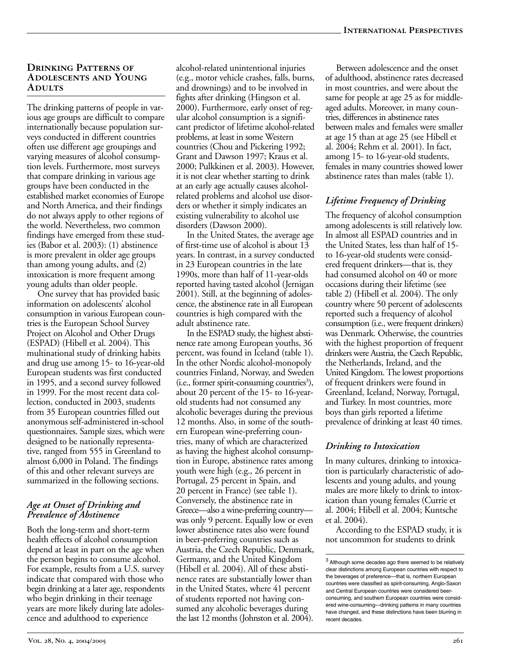#### **Drinking Patterns of Adolescents and Young Adults**

The drinking patterns of people in various age groups are difficult to compare internationally because population surveys conducted in different countries often use different age groupings and varying measures of alcohol consumption levels. Furthermore, most surveys that compare drinking in various age groups have been conducted in the established market economies of Europe and North America, and their findings do not always apply to other regions of the world. Nevertheless, two common findings have emerged from these studies (Babor et al. 2003): (1) abstinence is more prevalent in older age groups than among young adults, and (2) intoxication is more frequent among young adults than older people.

One survey that has provided basic information on adolescents' alcohol consumption in various European countries is the European School Survey Project on Alcohol and Other Drugs (ESPAD) (Hibell et al. 2004). This multinational study of drinking habits and drug use among 15- to 16-year-old European students was first conducted in 1995, and a second survey followed in 1999. For the most recent data collection, conducted in 2003, students from 35 European countries filled out anonymous self-administered in-school questionnaires. Sample sizes, which were designed to be nationally representative, ranged from 555 in Greenland to almost 6,000 in Poland. The findings of this and other relevant surveys are summarized in the following sections.

#### *Age at Onset of Drinking and Prevalence of Abstinence*

Both the long-term and short-term health effects of alcohol consumption depend at least in part on the age when the person begins to consume alcohol. For example, results from a U.S. survey indicate that compared with those who begin drinking at a later age, respondents who begin drinking in their teenage years are more likely during late adolescence and adulthood to experience

alcohol-related unintentional injuries (e.g., motor vehicle crashes, falls, burns, and drownings) and to be involved in fights after drinking (Hingson et al. 2000). Furthermore, early onset of regular alcohol consumption is a significant predictor of lifetime alcohol-related problems, at least in some Western countries (Chou and Pickering 1992; Grant and Dawson 1997; Kraus et al. 2000; Pulkkinen et al. 2003). However, it is not clear whether starting to drink at an early age actually causes alcoholrelated problems and alcohol use disorders or whether it simply indicates an existing vulnerability to alcohol use disorders (Dawson 2000).

In the United States, the average age of first-time use of alcohol is about  $13$ years. In contrast, in a survey conducted in 23 European countries in the late 1990s, more than half of 11-year-olds reported having tasted alcohol (Jernigan 2001). Still, at the beginning of adolescence, the abstinence rate in all European countries is high compared with the adult abstinence rate.

In the ESPAD study, the highest abstinence rate among European youths, 36 percent, was found in Iceland (table 1). In the other Nordic alcohol-monopoly countries Finland, Norway, and Sweden (i.e., former spirit-consuming countries<sup>3</sup>), about 20 percent of the 15- to 16-yearold students had not consumed any alcoholic beverages during the previous 12 months. Also, in some of the southern European wine-preferring countries, many of which are characterized as having the highest alcohol consumption in Europe, abstinence rates among youth were high (e.g., 26 percent in Portugal, 25 percent in Spain, and 20 percent in France) (see table 1). Conversely, the abstinence rate in Greece—also a wine-preferring country was only 9 percent. Equally low or even lower abstinence rates also were found in beer-preferring countries such as Austria, the Czech Republic, Denmark, Germany, and the United Kingdom (Hibell et al. 2004). All of these abstinence rates are substantially lower than in the United States, where 41 percent of students reported not having consumed any alcoholic beverages during the last 12 months (Johnston et al. 2004).

Between adolescence and the onset of adulthood, abstinence rates decreased in most countries, and were about the same for people at age 25 as for middleaged adults. Moreover, in many countries, differences in abstinence rates between males and females were smaller at age 15 than at age 25 (see Hibell et al. 2004; Rehm et al. 2001). In fact, among 15- to 16-year-old students, females in many countries showed lower abstinence rates than males (table 1).

# *Lifetime Frequency of Drinking*

The frequency of alcohol consumption among adolescents is still relatively low. In almost all ESPAD countries and in the United States, less than half of 15 to 16-year-old students were considered frequent drinkers—that is, they had consumed alcohol on 40 or more occasions during their lifetime (see table 2) (Hibell et al. 2004). The only country where 50 percent of adolescents reported such a frequency of alcohol consumption (i.e., were frequent drinkers) was Denmark. Otherwise, the countries with the highest proportion of frequent drinkers were Austria, the Czech Republic, the Netherlands, Ireland, and the United Kingdom. The lowest proportions of frequent drinkers were found in Greenland, Iceland, Norway, Portugal, and Turkey. In most countries, more boys than girls reported a lifetime prevalence of drinking at least 40 times.

# *Drinking to Intoxication*

In many cultures, drinking to intoxication is particularly characteristic of adolescents and young adults, and young males are more likely to drink to intoxication than young females (Currie et al. 2004; Hibell et al. 2004; Kuntsche et al. 2004).

According to the ESPAD study, it is not uncommon for students to drink

<sup>&</sup>lt;sup>3</sup> Although some decades ago there seemed to be relatively clear distinctions among European countries with respect to the beverages of preference—that is, northern European countries were classified as spirit-consuming, Anglo-Saxon and Central European countries were considered beerconsuming, and southern European countries were considered wine-consuming-drinking patterns in many countries have changed, and these distinctions have been blurring in recent decades.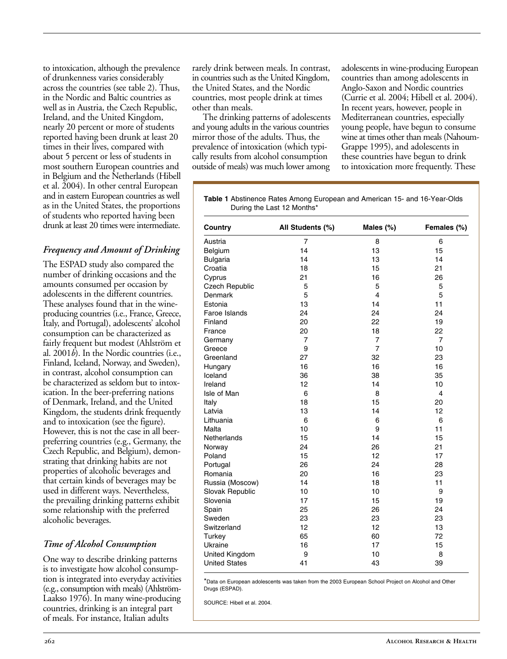to intoxication, although the prevalence of drunkenness varies considerably across the countries (see table 2). Thus, in the Nordic and Baltic countries as well as in Austria, the Czech Republic, Ireland, and the United Kingdom, nearly 20 percent or more of students reported having been drunk at least 20 times in their lives, compared with about 5 percent or less of students in most southern European countries and in Belgium and the Netherlands (Hibell et al. 2004). In other central European and in eastern European countries as well as in the United States, the proportions of students who reported having been drunk at least 20 times were intermediate.

# *Frequency and Amount of Drinking*

The ESPAD study also compared the number of drinking occasions and the amounts consumed per occasion by adolescents in the different countries. These analyses found that in the wineproducing countries (i.e., France, Greece, Italy, and Portugal), adolescents' alcohol consumption can be characterized as fairly frequent but modest (Ahlström et al. 2001*b*). In the Nordic countries (i.e., Finland, Iceland, Norway, and Sweden), in contrast, alcohol consumption can be characterized as seldom but to intoxication. In the beer-preferring nations of Denmark, Ireland, and the United Kingdom, the students drink frequently and to intoxication (see the figure). However, this is not the case in all beerpreferring countries (e.g., Germany, the Czech Republic, and Belgium), demonstrating that drinking habits are not properties of alcoholic beverages and that certain kinds of beverages may be used in different ways. Nevertheless, the prevailing drinking patterns exhibit some relationship with the preferred alcoholic beverages.

# *Time of Alcohol Consumption*

One way to describe drinking patterns is to investigate how alcohol consumption is integrated into everyday activities (e.g., consumption with meals) (Ahlström-Laakso 1976). In many wine-producing countries, drinking is an integral part of meals. For instance, Italian adults

rarely drink between meals. In contrast, in countries such as the United Kingdom, the United States, and the Nordic countries, most people drink at times other than meals.

The drinking patterns of adolescents and young adults in the various countries mirror those of the adults. Thus, the prevalence of intoxication (which typically results from alcohol consumption outside of meals) was much lower among

adolescents in wine-producing European countries than among adolescents in Anglo-Saxon and Nordic countries (Currie et al. 2004; Hibell et al. 2004). In recent years, however, people in Mediterranean countries, especially young people, have begun to consume wine at times other than meals (Nahoum-Grappe 1995), and adolescents in these countries have begun to drink to intoxication more frequently. These

Table 1 Abstinence Rates Among European and American 15- and 16-Year-Olds During the Last 12 Months\*

| Country              | All Students (%) | Males (%)               | Females (%) |
|----------------------|------------------|-------------------------|-------------|
| Austria              | $\overline{7}$   | 8                       | 6           |
| Belgium              | 14               | 13                      | 15          |
| Bulgaria             | 14               | 13                      | 14          |
| Croatia              | 18               | 15                      | 21          |
| Cyprus               | 21               | 16                      | 26          |
| Czech Republic       | 5                | 5                       | 5           |
| Denmark              | 5                | $\overline{\mathbf{4}}$ | 5           |
| Estonia              | 13               | 14                      | 11          |
| Faroe Islands        | 24               | 24                      | 24          |
| Finland              | 20               | 22                      | 19          |
| France               | 20               | 18                      | 22          |
| Germany              | 7                | $\overline{7}$          | 7           |
| Greece               | 9                | $\overline{7}$          | 10          |
| Greenland            | 27               | 32                      | 23          |
| Hungary              | 16               | 16                      | 16          |
| Iceland              | 36               | 38                      | 35          |
| Ireland              | 12               | 14                      | 10          |
| Isle of Man          | 6                | 8                       | 4           |
| Italy                | 18               | 15                      | 20          |
| Latvia               | 13               | 14                      | 12          |
| Lithuania            | 6                | 6                       | 6           |
| Malta                | 10               | 9                       | 11          |
| Netherlands          | 15               | 14                      | 15          |
| Norway               | 24               | 26                      | 21          |
| Poland               | 15               | 12                      | 17          |
| Portugal             | 26               | 24                      | 28          |
| Romania              | 20               | 16                      | 23          |
| Russia (Moscow)      | 14               | 18                      | 11          |
| Slovak Republic      | 10               | 10                      | 9           |
| Slovenia             | 17               | 15                      | 19          |
| Spain                | 25               | 26                      | 24          |
| Sweden               | 23               | 23                      | 23          |
| Switzerland          | 12               | 12                      | 13          |
| Turkey               | 65               | 60                      | 72          |
| Ukraine              | 16               | 17                      | 15          |
| United Kingdom       | 9                | 10                      | 8           |
| <b>United States</b> | 41               | 43                      | 39          |

\*Data on European adolescents was taken from the 2003 European School Project on Alcohol and Other Drugs (ESPAD).

SOURCE: Hibell et al. 2004.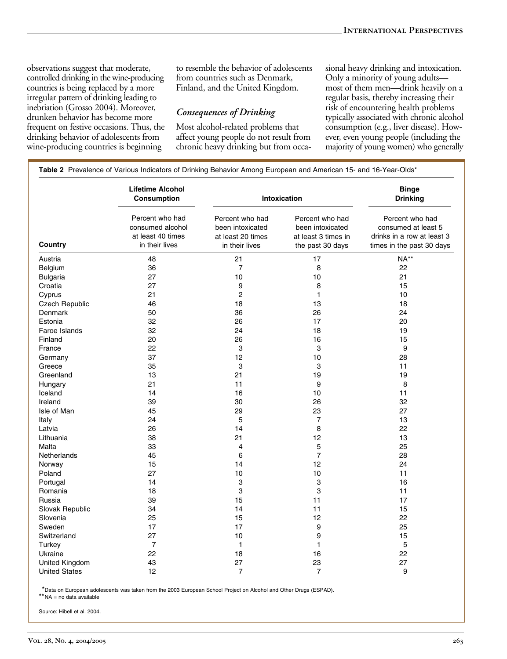observations suggest that moderate, controlled drinking in the wine-producing countries is being replaced by a more irregular pattern of drinking leading to inebriation (Grosso 2004). Moreover, drunken behavior has become more frequent on festive occasions. Thus, the drinking behavior of adolescents from wine-producing countries is beginning

to resemble the behavior of adolescents from countries such as Denmark, Finland, and the United Kingdom.

#### *Consequences of Drinking*

Most alcohol-related problems that affect young people do not result from chronic heavy drinking but from occasional heavy drinking and intoxication. Only a minority of young adults most of them men—drink heavily on a regular basis, thereby increasing their risk of encountering health problems typically associated with chronic alcohol consumption (e.g., liver disease). However, even young people (including the majority of young women) who generally

| Country              | <b>Lifetime Alcohol</b><br>Consumption                                     | Intoxication                                                               |                                                                                | <b>Binge</b><br><b>Drinking</b>                                                                   |  |
|----------------------|----------------------------------------------------------------------------|----------------------------------------------------------------------------|--------------------------------------------------------------------------------|---------------------------------------------------------------------------------------------------|--|
|                      | Percent who had<br>consumed alcohol<br>at least 40 times<br>in their lives | Percent who had<br>been intoxicated<br>at least 20 times<br>in their lives | Percent who had<br>been intoxicated<br>at least 3 times in<br>the past 30 days | Percent who had<br>consumed at least 5<br>drinks in a row at least 3<br>times in the past 30 days |  |
| Austria              | 48                                                                         | 21                                                                         | 17                                                                             | NA**                                                                                              |  |
| Belgium              | 36                                                                         | $\overline{7}$                                                             | 8                                                                              | 22                                                                                                |  |
| <b>Bulgaria</b>      | 27                                                                         | 10                                                                         | 10                                                                             | 21                                                                                                |  |
| Croatia              | 27                                                                         | 9                                                                          | 8                                                                              | 15                                                                                                |  |
| Cyprus               | 21                                                                         | $\overline{c}$                                                             | $\mathbf{1}$                                                                   | 10                                                                                                |  |
| Czech Republic       | 46                                                                         | 18                                                                         | 13                                                                             | 18                                                                                                |  |
| <b>Denmark</b>       | 50                                                                         | 36                                                                         | 26                                                                             | 24                                                                                                |  |
| Estonia              | 32                                                                         | 26                                                                         | 17                                                                             | 20                                                                                                |  |
| Faroe Islands        | 32                                                                         | 24                                                                         | 18                                                                             | 19                                                                                                |  |
| Finland              | 20                                                                         | 26                                                                         | 16                                                                             | 15                                                                                                |  |
| France               | 22                                                                         | 3                                                                          | 3                                                                              | 9                                                                                                 |  |
| Germany              | 37                                                                         | 12                                                                         | 10                                                                             | 28                                                                                                |  |
| Greece               | 35                                                                         | 3                                                                          | 3                                                                              | 11                                                                                                |  |
| Greenland            | 13                                                                         | 21                                                                         | 19                                                                             | 19                                                                                                |  |
| Hungary              | 21                                                                         | 11                                                                         | 9                                                                              | 8                                                                                                 |  |
| Iceland              | 14                                                                         | 16                                                                         | 10                                                                             | 11                                                                                                |  |
| Ireland              | 39                                                                         | 30                                                                         | 26                                                                             | 32                                                                                                |  |
| Isle of Man          | 45                                                                         | 29                                                                         | 23                                                                             | 27                                                                                                |  |
| Italy                | 24                                                                         | 5                                                                          | $\overline{7}$                                                                 | 13                                                                                                |  |
| Latvia               | 26                                                                         | 14                                                                         | 8                                                                              | 22                                                                                                |  |
| Lithuania            | 38                                                                         | 21                                                                         | 12                                                                             | 13                                                                                                |  |
| Malta                | 33                                                                         | 4                                                                          | 5                                                                              | 25                                                                                                |  |
| Netherlands          | 45                                                                         | 6                                                                          | $\overline{7}$                                                                 | 28                                                                                                |  |
| Norway               | 15                                                                         | 14                                                                         | 12                                                                             | 24                                                                                                |  |
| Poland               | 27                                                                         | 10                                                                         | 10                                                                             | 11                                                                                                |  |
|                      | 14                                                                         | 3                                                                          | 3                                                                              | 16                                                                                                |  |
| Portugal<br>Romania  | 18                                                                         | 3                                                                          | 3                                                                              | 11                                                                                                |  |
|                      | 39                                                                         |                                                                            | 11                                                                             | 17                                                                                                |  |
| Russia               |                                                                            | 15<br>14                                                                   | 11                                                                             |                                                                                                   |  |
| Slovak Republic      | 34                                                                         |                                                                            | 12                                                                             | 15<br>22                                                                                          |  |
| Slovenia             | 25                                                                         | 15<br>17                                                                   | 9                                                                              |                                                                                                   |  |
| Sweden               | 17                                                                         |                                                                            |                                                                                | 25                                                                                                |  |
| Switzerland          | 27                                                                         | 10                                                                         | 9                                                                              | 15                                                                                                |  |
| Turkey               | $\overline{7}$                                                             | $\mathbf{1}$                                                               | $\mathbf{1}$                                                                   | 5                                                                                                 |  |
| Ukraine              | 22                                                                         | 18                                                                         | 16                                                                             | 22                                                                                                |  |
| United Kingdom       | 43                                                                         | 27                                                                         | 23                                                                             | 27                                                                                                |  |
| <b>United States</b> | 12                                                                         | $\overline{7}$                                                             | 7                                                                              | 9                                                                                                 |  |

\*Data on European adolescents was taken from the 2003 European School Project on Alcohol and Other Drugs (ESPAD).

\*\*NA = no data available

Source: Hibell et al. 2004.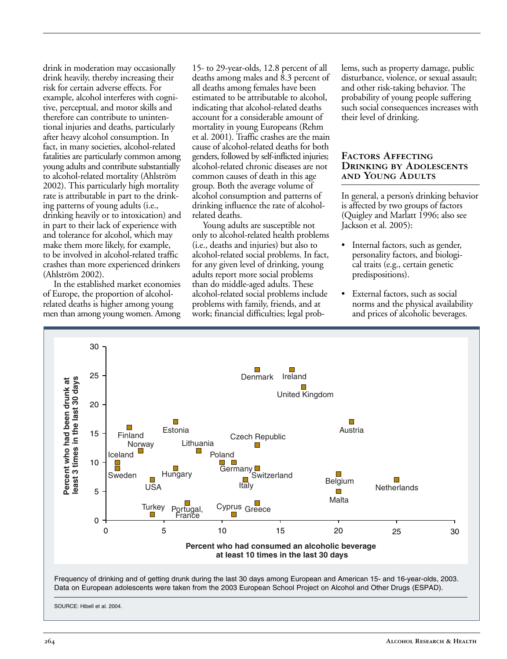drink in moderation may occasionally drink heavily, thereby increasing their risk for certain adverse effects. For example, alcohol interferes with cognitive, perceptual, and motor skills and therefore can contribute to unintentional injuries and deaths, particularly after heavy alcohol consumption. In fact, in many societies, alcohol-related fatalities are particularly common among young adults and contribute substantially to alcohol-related mortality (Ahlström 2002). This particularly high mortality rate is attributable in part to the drinking patterns of young adults (i.e., drinking heavily or to intoxication) and in part to their lack of experience with and tolerance for alcohol, which may make them more likely, for example, to be involved in alcohol-related traffic crashes than more experienced drinkers (Ahlström 2002).

In the established market economies of Europe, the proportion of alcoholrelated deaths is higher among young men than among young women. Among

15- to 29-year-olds, 12.8 percent of all deaths among males and 8.3 percent of all deaths among females have been estimated to be attributable to alcohol, indicating that alcohol-related deaths account for a considerable amount of mortality in young Europeans (Rehm et al. 2001). Traffic crashes are the main cause of alcohol-related deaths for both genders, followed by self-inflicted injuries; alcohol-related chronic diseases are not common causes of death in this age group. Both the average volume of alcohol consumption and patterns of drinking influence the rate of alcoholrelated deaths.

Young adults are susceptible not only to alcohol-related health problems (i.e., deaths and injuries) but also to alcohol-related social problems. In fact, for any given level of drinking, young adults report more social problems than do middle-aged adults. These alcohol-related social problems include problems with family, friends, and at work; financial difficulties; legal problems, such as property damage, public disturbance, violence, or sexual assault; and other risk-taking behavior. The probability of young people suffering such social consequences increases with their level of drinking.

#### **Factors Affecting Drinking by Adolescents and Young Adults**

In general, a person's drinking behavior is affected by two groups of factors (Quigley and Marlatt 1996; also see Jackson et al. 2005):

- Internal factors, such as gender, personality factors, and biological traits (e.g., certain genetic predispositions).
- External factors, such as social norms and the physical availability and prices of alcoholic beverages.

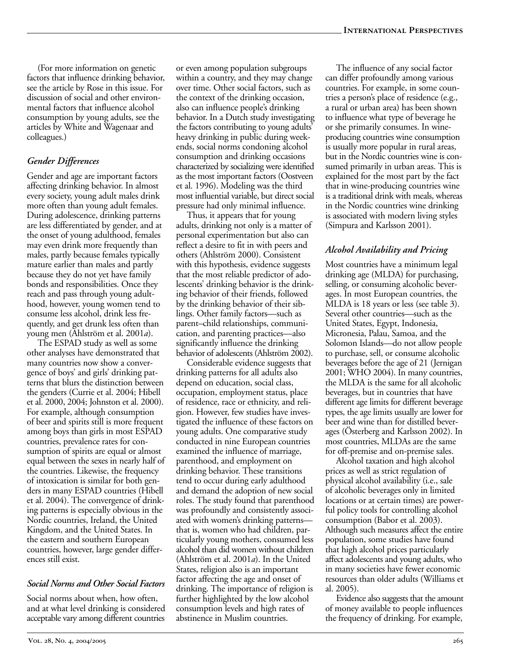(For more information on genetic factors that influence drinking behavior, see the article by Rose in this issue. For discussion of social and other environmental factors that influence alcohol consumption by young adults, see the articles by White and Wagenaar and colleagues.)

## *Gender Differences*

Gender and age are important factors affecting drinking behavior. In almost every society, young adult males drink more often than young adult females. During adolescence, drinking patterns are less differentiated by gender, and at the onset of young adulthood, females may even drink more frequently than males, partly because females typically mature earlier than males and partly because they do not yet have family bonds and responsibilities. Once they reach and pass through young adulthood, however, young women tend to consume less alcohol, drink less frequently, and get drunk less often than young men (Ahlström et al. 2001*a*).

The ESPAD study as well as some other analyses have demonstrated that many countries now show a convergence of boys' and girls' drinking patterns that blurs the distinction between the genders (Currie et al. 2004; Hibell et al. 2000, 2004; Johnston et al. 2000). For example, although consumption of beer and spirits still is more frequent among boys than girls in most ESPAD countries, prevalence rates for consumption of spirits are equal or almost equal between the sexes in nearly half of the countries. Likewise, the frequency of intoxication is similar for both genders in many ESPAD countries (Hibell et al. 2004). The convergence of drinking patterns is especially obvious in the Nordic countries, Ireland, the United Kingdom, and the United States. In the eastern and southern European countries, however, large gender differences still exist.

#### *Social Norms and Other Social Factors*

Social norms about when, how often, and at what level drinking is considered acceptable vary among different countries

or even among population subgroups within a country, and they may change over time. Other social factors, such as the context of the drinking occasion, also can influence people's drinking behavior. In a Dutch study investigating the factors contributing to young adults' heavy drinking in public during weekends, social norms condoning alcohol consumption and drinking occasions characterized by socializing were identified as the most important factors (Oostveen et al. 1996). Modeling was the third most influential variable, but direct social pressure had only minimal influence.

Thus, it appears that for young adults, drinking not only is a matter of personal experimentation but also can reflect a desire to fit in with peers and others (Ahlström 2000). Consistent with this hypothesis, evidence suggests that the most reliable predictor of adolescents' drinking behavior is the drinking behavior of their friends, followed by the drinking behavior of their siblings. Other family factors—such as parent–child relationships, communication, and parenting practices—also significantly influence the drinking behavior of adolescents (Ahlström 2002).

Considerable evidence suggests that drinking patterns for all adults also depend on education, social class, occupation, employment status, place of residence, race or ethnicity, and religion. However, few studies have investigated the influence of these factors on young adults. One comparative study conducted in nine European countries examined the influence of marriage, parenthood, and employment on drinking behavior. These transitions tend to occur during early adulthood and demand the adoption of new social roles. The study found that parenthood was profoundly and consistently associated with women's drinking patterns that is, women who had children, particularly young mothers, consumed less alcohol than did women without children (Ahlström et al. 2001*a*). In the United States, religion also is an important factor affecting the age and onset of drinking. The importance of religion is further highlighted by the low alcohol consumption levels and high rates of abstinence in Muslim countries.

The influence of any social factor can differ profoundly among various countries. For example, in some countries a person's place of residence (e.g., a rural or urban area) has been shown to influence what type of beverage he or she primarily consumes. In wineproducing countries wine consumption is usually more popular in rural areas, but in the Nordic countries wine is consumed primarily in urban areas. This is explained for the most part by the fact that in wine-producing countries wine is a traditional drink with meals, whereas in the Nordic countries wine drinking is associated with modern living styles (Simpura and Karlsson 2001).

#### *Alcohol Availability and Pricing*

Most countries have a minimum legal drinking age (MLDA) for purchasing, selling, or consuming alcoholic beverages. In most European countries, the MLDA is 18 years or less (see table 3). Several other countries—such as the United States, Egypt, Indonesia, Micronesia, Palau, Samoa, and the Solomon Islands—do not allow people to purchase, sell, or consume alcoholic beverages before the age of 21 (Jernigan 2001; WHO 2004). In many countries, the MLDA is the same for all alcoholic beverages, but in countries that have different age limits for different beverage types, the age limits usually are lower for beer and wine than for distilled beverages (Österberg and Karlsson 2002). In most countries, MLDAs are the same for off-premise and on-premise sales.

Alcohol taxation and high alcohol prices as well as strict regulation of physical alcohol availability (i.e., sale of alcoholic beverages only in limited locations or at certain times) are powerful policy tools for controlling alcohol consumption (Babor et al. 2003). Although such measures affect the entire population, some studies have found that high alcohol prices particularly affect adolescents and young adults, who in many societies have fewer economic resources than older adults (Williams et al. 2005).

Evidence also suggests that the amount of money available to people influences the frequency of drinking. For example,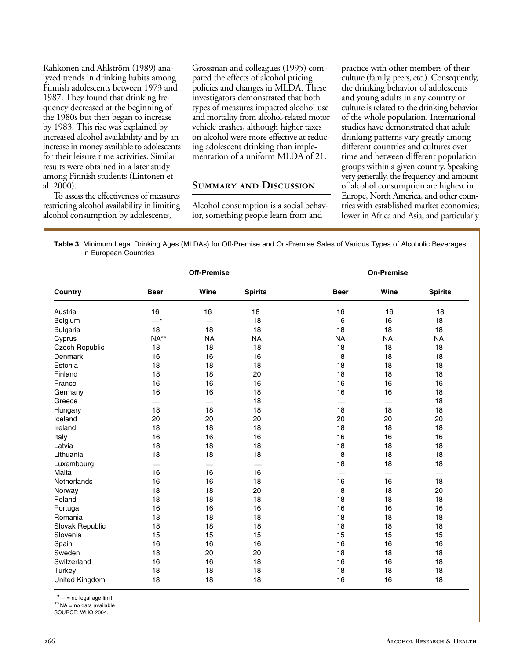Rahkonen and Ahlström (1989) analyzed trends in drinking habits among Finnish adolescents between 1973 and 1987. They found that drinking frequency decreased at the beginning of the 1980s but then began to increase by 1983. This rise was explained by increased alcohol availability and by an increase in money available to adolescents for their leisure time activities. Similar results were obtained in a later study among Finnish students (Lintonen et al.  $2000$ ).

To assess the effectiveness of measures restricting alcohol availability in limiting alcohol consumption by adolescents,

Grossman and colleagues (1995) compared the effects of alcohol pricing policies and changes in MLDA. These investigators demonstrated that both types of measures impacted alcohol use and mortality from alcohol-related motor vehicle crashes, although higher taxes on alcohol were more effective at reducing adolescent drinking than implementation of a uniform MLDA of 21.

#### **Summary and Discussion**

Alcohol consumption is a social behavior, something people learn from and

practice with other members of their culture (family, peers, etc.). Consequently, the drinking behavior of adolescents and young adults in any country or culture is related to the drinking behavior of the whole population. International studies have demonstrated that adult drinking patterns vary greatly among different countries and cultures over time and between different population groups within a given country. Speaking very generally, the frequency and amount of alcohol consumption are highest in Europe, North America, and other countries with established market economies; lower in Africa and Asia; and particularly

Table 3 Minimum Legal Drinking Ages (MLDAs) for Off-Premise and On-Premise Sales of Various Types of Alcoholic Beverages in European Countries

| Country         | <b>Off-Premise</b>         |                 |                | <b>On-Premise</b> |           |                |
|-----------------|----------------------------|-----------------|----------------|-------------------|-----------|----------------|
|                 | <b>Beer</b>                | Wine            | <b>Spirits</b> | <b>Beer</b>       | Wine      | <b>Spirits</b> |
| Austria         | 16                         | 16              | 18             | 16                | 16        | 18             |
| Belgium         | $\overline{\phantom{0}}^*$ |                 | 18             | 16                | 16        | 18             |
| <b>Bulgaria</b> | 18                         | 18              | 18             | 18                | 18        | 18             |
| Cyprus          | $NA**$                     | <b>NA</b>       | <b>NA</b>      | <b>NA</b>         | <b>NA</b> | <b>NA</b>      |
| Czech Republic  | 18                         | 18              | 18             | 18                | 18        | 18             |
| Denmark         | 16                         | 16              | 16             | 18                | 18        | 18             |
| Estonia         | 18                         | 18              | 18             | 18                | 18        | 18             |
| Finland         | 18                         | 18              | 20             | 18                | 18        | 18             |
| France          | 16                         | 16              | 16             | 16                | 16        | 16             |
| Germany         | 16                         | 16              | 18             | 16                | 16        | 18             |
| Greece          |                            | $\qquad \qquad$ | 18             |                   |           | 18             |
| Hungary         | 18                         | 18              | 18             | 18                | 18        | 18             |
| Iceland         | 20                         | 20              | 20             | 20                | 20        | 20             |
| Ireland         | 18                         | 18              | 18             | 18                | 18        | 18             |
| Italy           | 16                         | 16              | 16             | 16                | 16        | 16             |
| Latvia          | 18                         | 18              | 18             | 18                | 18        | 18             |
| Lithuania       | 18                         | 18              | 18             | 18                | 18        | 18             |
| Luxembourg      |                            |                 |                | 18                | 18        | 18             |
| Malta           | 16                         | 16              | 16             |                   |           |                |
| Netherlands     | 16                         | 16              | 18             | 16                | 16        | 18             |
| Norway          | 18                         | 18              | 20             | 18                | 18        | 20             |
| Poland          | 18                         | 18              | 18             | 18                | 18        | 18             |
| Portugal        | 16                         | 16              | 16             | 16                | 16        | 16             |
| Romania         | 18                         | 18              | 18             | 18                | 18        | 18             |
| Slovak Republic | 18                         | 18              | 18             | 18                | 18        | 18             |
| Slovenia        | 15                         | 15              | 15             | 15                | 15        | 15             |
| Spain           | 16                         | 16              | 16             | 16                | 16        | 16             |
| Sweden          | 18                         | 20              | 20             | 18                | 18        | 18             |
| Switzerland     | 16                         | 16              | 18             | 16                | 16        | 18             |
| Turkey          | 18                         | 18              | 18             | 18                | 18        | 18             |
| United Kingdom  | 18                         | 18              | 18             | 16                | 16        | 18             |

\*- = no legal age limit

\*\*NA = no data available

SOURCE: WHO 2004.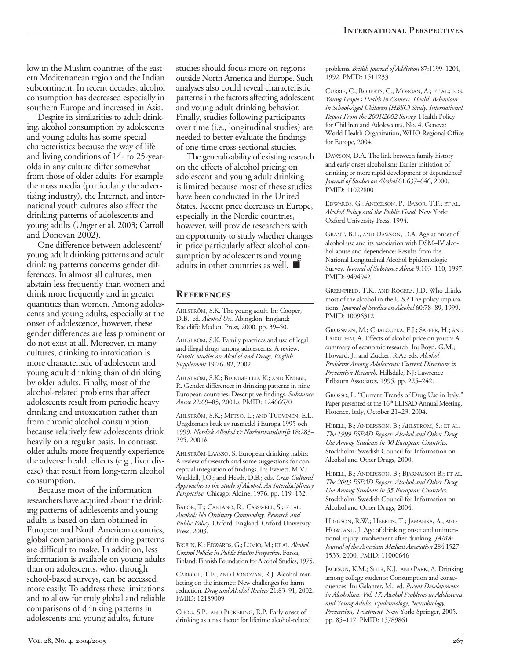low in the Muslim countries of the eastern Mediterranean region and the Indian subcontinent. In recent decades, alcohol consumption has decreased especially in southern Europe and increased in Asia.

Despite its similarities to adult drinking, alcohol consumption by adolescents and young adults has some special characteristics because the way of life and living conditions of 14- to 25-yearolds in any culture differ somewhat from those of older adults. For example, the mass media (particularly the advertising industry), the Internet, and international youth cultures also affect the drinking patterns of adolescents and young adults (Unger et al. 2003; Carroll and Donovan 2002).

One difference between adolescent/ young adult drinking patterns and adult drinking patterns concerns gender differences. In almost all cultures, men abstain less frequently than women and drink more frequently and in greater quantities than women. Among adolescents and young adults, especially at the onset of adolescence, however, these gender differences are less prominent or do not exist at all. Moreover, in many cultures, drinking to intoxication is more characteristic of adolescent and young adult drinking than of drinking by older adults. Finally, most of the alcohol-related problems that affect adolescents result from periodic heavy drinking and intoxication rather than from chronic alcohol consumption, because relatively few adolescents drink heavily on a regular basis. In contrast, older adults more frequently experience the adverse health effects (e.g., liver disease) that result from long-term alcohol consumption.

Because most of the information researchers have acquired about the drinking patterns of adolescents and young adults is based on data obtained in European and North American countries, global comparisons of drinking patterns are difficult to make. In addition, less information is available on young adults than on adolescents, who, through school-based surveys, can be accessed more easily. To address these limitations and to allow for truly global and reliable comparisons of drinking patterns in adolescents and young adults, future

studies should focus more on regions outside North America and Europe. Such analyses also could reveal characteristic patterns in the factors affecting adolescent and young adult drinking behavior. Finally, studies following participants over time (i.e., longitudinal studies) are needed to better evaluate the findings of one-time cross-sectional studies.

The generalizability of existing research on the effects of alcohol pricing on adolescent and young adult drinking is limited because most of these studies have been conducted in the United States. Recent price decreases in Europe, especially in the Nordic countries, however, will provide researchers with an opportunity to study whether changes in price particularly affect alcohol consumption by adolescents and young adults in other countries as well. ■

#### **References**

AHLSTRÖM, S.K. The young adult. In: Cooper, D.B., ed. *Alcohol Use*. Abingdon, England: Radcliffe Medical Press, 2000. pp. 39–50.

AHLSTRÖM, S.K. Family practices and use of legal and illegal drugs among adolescents: A review. *Nordic Studies on Alcohol and Drugs, English Supplement* 19:76–82, 2002.

AHLSTRÖM, S.K.; BLOOMFIELD, K.; AND KNIBBE, R. Gender differences in drinking patterns in nine European countries: Descriptive findings. *Substance Abuse* 22:69–85, 2001*a.* PMID: 12466670

AHLSTRÖM, S.K.; METSO, L.; AND TUOVINEN, E.L. Ungdomars bruk av rusmedel i Europa 1995 och 1999. *Nordisk Alkohol & Narkotikatidskrift* 18:283– 295, 2001*b*.

AHLSTRÖM-LAAKSO, S. European drinking habits: A review of research and some suggestions for con ceptual integration of findings. In: Everett, M.V.; Waddell, J.O.; and Heath, D.B.; eds. *Cross-Cultural Approaches to the Study of Alcohol: An Interdisciplinary Perspective*. Chicago: Aldine, 1976. pp. 119–132.

BABOR, T.; CAETANO, R.; CASSWELL, S.; ET AL. *Alcohol: No Ordinary Commodity. Research and Public Policy*. Oxford, England: Oxford University Press, 2003.

BRUUN, K.; EDWARDS, G.; LUMIO, M.; ET AL. *Alcohol Control Policies in Public Health Perspective.* Forssa, Finland: Finnish Foundation for Alcohol Studies, 1975.

CARROLL, T.E., AND DONOVAN, R.J. Alcohol marketing on the internet: New challenges for harm reduction. *Drug and Alcohol Review* 21:83–91, 2002. PMID: 12189009

CHOU, S.P., AND PICKERING, R.P. Early onset of drinking as a risk factor for lifetime alcohol-related problems. *British Journal of Addiction* 87:1199–1204, 1992. PMID: 1511233

CURRIE, C.; ROBERTS, C.; MORGAN, A.; ET AL.; EDS. *Young People's Health in Context. Health Behaviour in School-Aged Children (HBSC) Study: International Report From the 2001/2002 Survey.* Health Policy for Children and Adolescents, No. 4. Geneva: World Health Organization, WHO Regional Office for Europe, 2004.

DAWSON, D.A. The link between family history and early onset alcoholism: Earlier initiation of drinking or more rapid development of dependence? *Journal of Studies on Alcohol* 61:637–646, 2000. PMID: 11022800

EDWARDS, G.; ANDERSON, P.; BABOR, T.F.; ET AL. *Alcohol Policy and the Public Good*. New York: Oxford University Press, 1994.

GRANT, B.F., AND DAWSON, D.A. Age at onset of alcohol use and its association with DSM–IV alcohol abuse and dependence: Results from the National Longitudinal Alcohol Epidemiologic Survey. *Journal of Substance Abuse* 9:103–110, 1997. PMID: 9494942

GREENFIELD, T.K., AND ROGERS, J.D. Who drinks most of the alcohol in the U.S.? The policy implications. *Journal of Studies on Alcohol* 60:78–89, 1999. PMID: 10096312

GROSSMAN, M.; CHALOUPKA, F.J.; SAFFER, H.; AND LAIXUTHAI, A. Effects of alcohol price on youth: A summary of economic research. In: Boyd, G.M.; Howard, J.; and Zucker, R.A.; eds. *Alcohol Problems Among Adolescents: Current Directions in Prevention Research*. Hillsdale, NJ: Lawrence Erlbaum Associates, 1995. pp. 225–242.

GROSSO, L. "Current Trends of Drug Use in Italy." Paper presented at the 16<sup>th</sup> ELISAD Annual Meeting, Florence, Italy, October 21–23, 2004.

HIBELL, B.; ANDERSSON, B.; AHLSTRÖM, S.; ET AL. *The 1999 ESPAD Report: Alcohol and Other Drug Use Among Students in 30 European Countries.*  Stockholm: Swedish Council for Information on Alcohol and Other Drugs, 2000.

HIBELL, B.; ANDERSSON, B.; BJARNASSON B.; ET AL. *The 2003 ESPAD Report: Alcohol and Other Drug Use Among Students in 35 European Countries.*  Stockholm: Swedish Council for Information on Alcohol and Other Drugs, 2004.

HINGSON, R.W.; HEEREN, T.; JAMANKA, A.; AND HOWLAND, J. Age of drinking onset and unintentional injury involvement after drinking. *JAMA: Journal of the American Medical Association* 284:1527– 1533, 2000. PMID: 11000646

JACKSON, K.M.; SHER, K.J.; AND PARK, A. Drinking among college students: Consumption and consequences. In: Galanter, M., ed. *Recent Developments in Alcoholism, Vol. 17: Alcohol Problems in Adolescents and Young Adults. Epidemiology, Neurobiology, Prevention, Treatment.* New York: Springer, 2005. pp. 85–117. PMID: 15789861